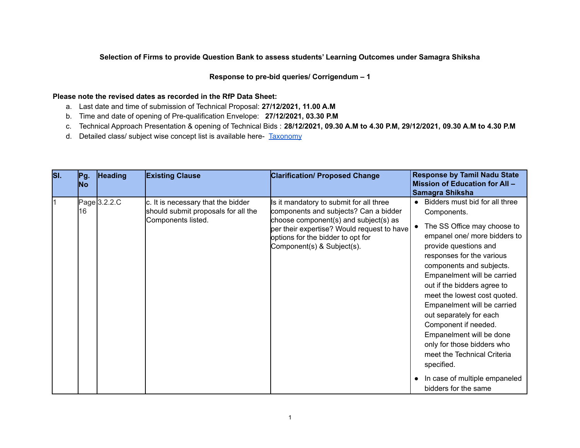### **Selection of Firms to provide Question Bank to assess students' Learning Outcomes under Samagra Shiksha**

#### **Response to pre-bid queries/ Corrigendum – 1**

#### **Please note the revised dates as recorded in the RfP Data Sheet:**

- a. Last date and time of submission of Technical Proposal: **27/12/2021, 11.00 A.M**
- b. Time and date of opening of Pre-qualification Envelope: **27/12/2021, 03.30 P.M**
- c. Technical Approach Presentation & opening of Technical Bids : **28/12/2021, 09.30 A.M to 4.30 P.M, 29/12/2021, 09.30 A.M to 4.30 P.M**
- d. Detailed class/ subject wise concept list is available here- [Taxonomy](https://docs.google.com/spreadsheets/d/1wU8vevEDaB7s5egj5cX_V1KZmvxOF_fy/edit?usp=sharing&ouid=106854993449437706196&rtpof=true&sd=true)

| SI. | Pg.<br><b>No</b> | <b>Heading</b> | <b>Existing Clause</b>                                                                          | <b>Clarification/ Proposed Change</b>                                                                                                                                                                                                      | <b>Response by Tamil Nadu State</b><br>Mission of Education for All -<br>Samagra Shiksha                                                                                                                                                                                                                                                                                                                                                                                                                                                       |
|-----|------------------|----------------|-------------------------------------------------------------------------------------------------|--------------------------------------------------------------------------------------------------------------------------------------------------------------------------------------------------------------------------------------------|------------------------------------------------------------------------------------------------------------------------------------------------------------------------------------------------------------------------------------------------------------------------------------------------------------------------------------------------------------------------------------------------------------------------------------------------------------------------------------------------------------------------------------------------|
|     | 16               | Page 3.2.2.C   | c. It is necessary that the bidder<br>should submit proposals for all the<br>Components listed. | Is it mandatory to submit for all three<br>components and subjects? Can a bidder<br>choose component(s) and subject(s) as<br>per their expertise? Would request to have<br>options for the bidder to opt for<br>Component(s) & Subject(s). | Bidders must bid for all three<br>Components.<br>The SS Office may choose to<br>empanel one/ more bidders to<br>provide questions and<br>responses for the various<br>components and subjects.<br>Empanelment will be carried<br>out if the bidders agree to<br>meet the lowest cost quoted.<br>Empanelment will be carried<br>out separately for each<br>Component if needed.<br>Empanelment will be done<br>only for those bidders who<br>meet the Technical Criteria<br>specified.<br>In case of multiple empaneled<br>bidders for the same |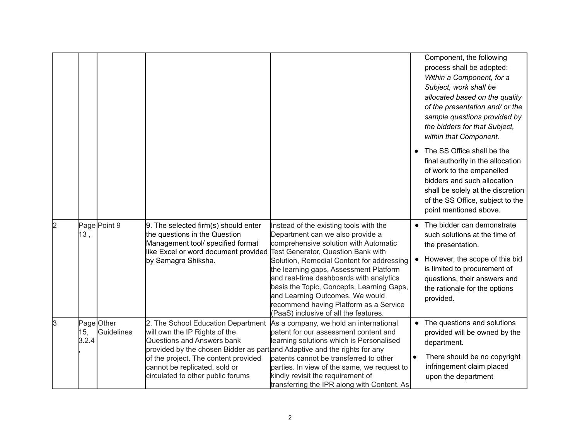|   |              |                                 |                                                                                                                                                                                                                                                                                              |                                                                                                                                                                                                                                                                                                                                                                                                                                                                       |                        | Component, the following<br>process shall be adopted:<br>Within a Component, for a<br>Subject, work shall be<br>allocated based on the quality<br>of the presentation and/ or the<br>sample questions provided by<br>the bidders for that Subject,<br>within that Component. |
|---|--------------|---------------------------------|----------------------------------------------------------------------------------------------------------------------------------------------------------------------------------------------------------------------------------------------------------------------------------------------|-----------------------------------------------------------------------------------------------------------------------------------------------------------------------------------------------------------------------------------------------------------------------------------------------------------------------------------------------------------------------------------------------------------------------------------------------------------------------|------------------------|------------------------------------------------------------------------------------------------------------------------------------------------------------------------------------------------------------------------------------------------------------------------------|
|   |              |                                 |                                                                                                                                                                                                                                                                                              |                                                                                                                                                                                                                                                                                                                                                                                                                                                                       |                        | The SS Office shall be the<br>final authority in the allocation<br>of work to the empanelled<br>bidders and such allocation<br>shall be solely at the discretion<br>of the SS Office, subject to the<br>point mentioned above.                                               |
| 2 | 13,          | Page Point 9                    | 9. The selected firm(s) should enter<br>the questions in the Question<br>Management tool/ specified format<br>like Excel or word document provided<br>by Samagra Shiksha.                                                                                                                    | Instead of the existing tools with the<br>Department can we also provide a<br>comprehensive solution with Automatic<br><b>Test Generator, Question Bank with</b><br>Solution, Remedial Content for addressing<br>the learning gaps, Assessment Platform<br>and real-time dashboards with analytics<br>basis the Topic, Concepts, Learning Gaps,<br>and Learning Outcomes. We would<br>recommend having Platform as a Service<br>(PaaS) inclusive of all the features. | $\bullet$<br>$\bullet$ | The bidder can demonstrate<br>such solutions at the time of<br>the presentation.<br>However, the scope of this bid<br>is limited to procurement of<br>questions, their answers and<br>the rationale for the options<br>provided.                                             |
| 3 | 15,<br>3.2.4 | Page Other<br><b>Guidelines</b> | 2. The School Education Department<br>will own the IP Rights of the<br>Questions and Answers bank<br>provided by the chosen Bidder as part and Adaptive and the rights for any<br>of the project. The content provided<br>cannot be replicated, sold or<br>circulated to other public forums | As a company, we hold an international<br>patent for our assessment content and<br>learning solutions which is Personalised<br>patents cannot be transferred to other<br>parties. In view of the same, we request to<br>kindly revisit the requirement of<br>transferring the IPR along with Content. As                                                                                                                                                              | $\bullet$<br>$\bullet$ | The questions and solutions<br>provided will be owned by the<br>department.<br>There should be no copyright<br>infringement claim placed<br>upon the department                                                                                                              |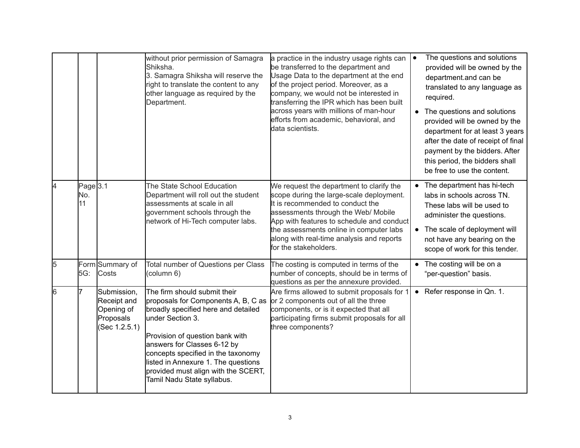|   |                                  |                                                                        | without prior permission of Samagra<br>Shiksha.<br>3. Samagra Shiksha will reserve the<br>right to translate the content to any<br>other language as required by the<br>Department.                                                                                                                                                                | a practice in the industry usage rights can<br>be transferred to the department and<br>Usage Data to the department at the end<br>of the project period. Moreover, as a<br>company, we would not be interested in<br>transferring the IPR which has been built<br>across years with millions of man-hour<br>efforts from academic, behavioral, and<br>data scientists. | $\bullet$<br>$\bullet$ | The questions and solutions<br>provided will be owned by the<br>department.and can be<br>translated to any language as<br>required.<br>The questions and solutions<br>provided will be owned by the<br>department for at least 3 years<br>after the date of receipt of final<br>payment by the bidders. After<br>this period, the bidders shall<br>be free to use the content. |
|---|----------------------------------|------------------------------------------------------------------------|----------------------------------------------------------------------------------------------------------------------------------------------------------------------------------------------------------------------------------------------------------------------------------------------------------------------------------------------------|------------------------------------------------------------------------------------------------------------------------------------------------------------------------------------------------------------------------------------------------------------------------------------------------------------------------------------------------------------------------|------------------------|--------------------------------------------------------------------------------------------------------------------------------------------------------------------------------------------------------------------------------------------------------------------------------------------------------------------------------------------------------------------------------|
| 4 | Page <sub>3.1</sub><br>No.<br>11 |                                                                        | The State School Education<br>Department will roll out the student<br>assessments at scale in all<br>government schools through the<br>network of Hi-Tech computer labs.                                                                                                                                                                           | We request the department to clarify the<br>scope during the large-scale deployment.<br>It is recommended to conduct the<br>assessments through the Web/ Mobile<br>App with features to schedule and conduct<br>the assessments online in computer labs<br>along with real-time analysis and reports<br>for the stakeholders.                                          |                        | The department has hi-tech<br>labs in schools across TN.<br>These labs will be used to<br>administer the questions.<br>The scale of deployment will<br>not have any bearing on the<br>scope of work for this tender.                                                                                                                                                           |
| 5 | 5G:                              | Form Summary of<br>Costs                                               | Total number of Questions per Class<br>(column 6)                                                                                                                                                                                                                                                                                                  | The costing is computed in terms of the<br>number of concepts, should be in terms of<br>questions as per the annexure provided.                                                                                                                                                                                                                                        | $\bullet$              | The costing will be on a<br>"per-question" basis.                                                                                                                                                                                                                                                                                                                              |
| 6 |                                  | Submission,<br>Receipt and<br>Opening of<br>Proposals<br>(Sec 1.2.5.1) | The firm should submit their<br>proposals for Components A, B, C as<br>broadly specified here and detailed<br>under Section 3.<br>Provision of question bank with<br>answers for Classes 6-12 by<br>concepts specified in the taxonomy<br>listed in Annexure 1. The questions<br>provided must align with the SCERT,<br>Tamil Nadu State syllabus. | Are firms allowed to submit proposals for 1<br>or 2 components out of all the three<br>components, or is it expected that all<br>participating firms submit proposals for all<br>three components?                                                                                                                                                                     |                        | • Refer response in Qn. 1.                                                                                                                                                                                                                                                                                                                                                     |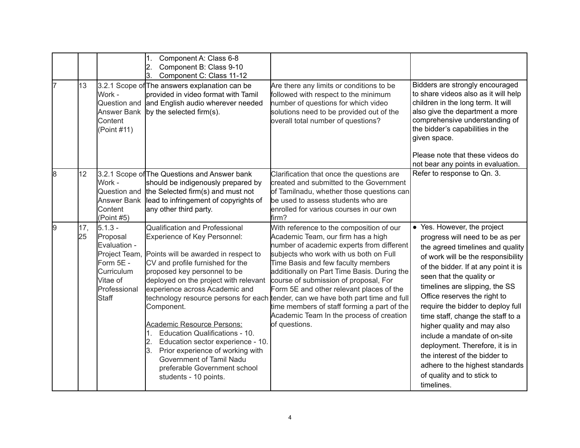|    |           |                                                                                                                        | Component A: Class 6-8<br>1.<br>$\overline{2}$ .<br>Component B: Class 9-10<br>Component C: Class 11-12<br>3.                                                                                                                                                                                                                                                                                                                                                                                                              |                                                                                                                                                                                                                                                                                                                                                                                                                                                                                                                                                 |                                                                                                                                                                                                                                                                                                                                                                                                                                                                                                                                                                            |
|----|-----------|------------------------------------------------------------------------------------------------------------------------|----------------------------------------------------------------------------------------------------------------------------------------------------------------------------------------------------------------------------------------------------------------------------------------------------------------------------------------------------------------------------------------------------------------------------------------------------------------------------------------------------------------------------|-------------------------------------------------------------------------------------------------------------------------------------------------------------------------------------------------------------------------------------------------------------------------------------------------------------------------------------------------------------------------------------------------------------------------------------------------------------------------------------------------------------------------------------------------|----------------------------------------------------------------------------------------------------------------------------------------------------------------------------------------------------------------------------------------------------------------------------------------------------------------------------------------------------------------------------------------------------------------------------------------------------------------------------------------------------------------------------------------------------------------------------|
| 17 | 13        | Work -<br>Question and<br><b>Answer Bank</b><br>Content<br>(Point #11)                                                 | 3.2.1 Scope of The answers explanation can be<br>provided in video format with Tamil<br>and English audio wherever needed<br>by the selected firm(s).                                                                                                                                                                                                                                                                                                                                                                      | Are there any limits or conditions to be<br>followed with respect to the minimum<br>number of questions for which video<br>solutions need to be provided out of the<br>overall total number of questions?                                                                                                                                                                                                                                                                                                                                       | Bidders are strongly encouraged<br>to share videos also as it will help<br>children in the long term. It will<br>also give the department a more<br>comprehensive understanding of<br>the bidder's capabilities in the<br>given space.<br>Please note that these videos do                                                                                                                                                                                                                                                                                                 |
|    |           |                                                                                                                        |                                                                                                                                                                                                                                                                                                                                                                                                                                                                                                                            |                                                                                                                                                                                                                                                                                                                                                                                                                                                                                                                                                 | not bear any points in evaluation.                                                                                                                                                                                                                                                                                                                                                                                                                                                                                                                                         |
| 8  | 12        | Work -<br>Question and<br>Content<br>(Point #5)                                                                        | 3.2.1 Scope of The Questions and Answer bank<br>should be indigenously prepared by<br>the Selected firm(s) and must not<br>Answer Bank lead to infringement of copyrights of<br>any other third party.                                                                                                                                                                                                                                                                                                                     | Clarification that once the questions are<br>created and submitted to the Government<br>of Tamilnadu, whether those questions can<br>be used to assess students who are<br>enrolled for various courses in our own<br>firm?                                                                                                                                                                                                                                                                                                                     | Refer to response to Qn. 3.                                                                                                                                                                                                                                                                                                                                                                                                                                                                                                                                                |
| 9  | 17,<br>25 | $5.1.3 -$<br>Proposal<br>Evaluation -<br>Project Team.<br>Form 5E -<br>Curriculum<br>Vitae of<br>Professional<br>Staff | <b>Qualification and Professional</b><br>Experience of Key Personnel:<br>Points will be awarded in respect to<br>CV and profile furnished for the<br>proposed key personnel to be<br>deployed on the project with relevant<br>experience across Academic and<br>Component.<br>Academic Resource Persons:<br>Education Qualifications - 10.<br>1.<br>Education sector experience - 10.<br>2.<br>Prior experience of working with<br>3.<br>Government of Tamil Nadu<br>preferable Government school<br>students - 10 points. | With reference to the composition of our<br>Academic Team, our firm has a high<br>number of academic experts from different<br>subjects who work with us both on Full<br>Time Basis and few faculty members<br>additionally on Part Time Basis. During the<br>course of submission of proposal, For<br>Form 5E and other relevant places of the<br>technology resource persons for each tender, can we have both part time and full<br>time members of staff forming a part of the<br>Academic Team In the process of creation<br>of questions. | • Yes. However, the project<br>progress will need to be as per<br>the agreed timelines and quality<br>of work will be the responsibility<br>of the bidder. If at any point it is<br>seen that the quality or<br>timelines are slipping, the SS<br>Office reserves the right to<br>require the bidder to deploy full<br>time staff, change the staff to a<br>higher quality and may also<br>include a mandate of on-site<br>deployment. Therefore, it is in<br>the interest of the bidder to<br>adhere to the highest standards<br>of quality and to stick to<br>timelines. |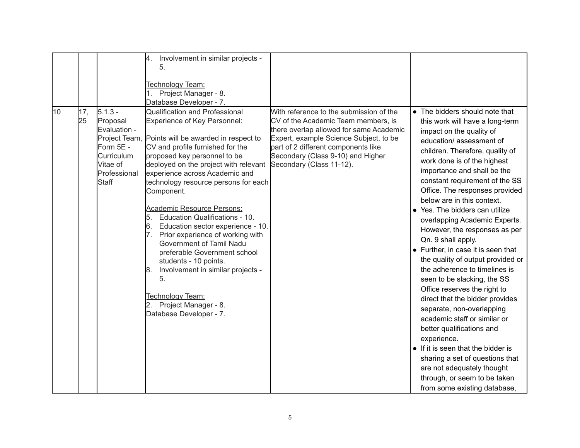|                 |                                                                                                                        | Involvement in similar projects -<br>4.                                                                                                                                                                                                                                                                                                                                                                                                                                                                                                                                                                                                                                                      |                                                                                                                                                                                                                                                                             |                                                                                                                                                                                                                                                                                                                                                                                                                                                                                                                                                                                                                                                                                                                                                                                                                                                                                                                                                     |
|-----------------|------------------------------------------------------------------------------------------------------------------------|----------------------------------------------------------------------------------------------------------------------------------------------------------------------------------------------------------------------------------------------------------------------------------------------------------------------------------------------------------------------------------------------------------------------------------------------------------------------------------------------------------------------------------------------------------------------------------------------------------------------------------------------------------------------------------------------|-----------------------------------------------------------------------------------------------------------------------------------------------------------------------------------------------------------------------------------------------------------------------------|-----------------------------------------------------------------------------------------------------------------------------------------------------------------------------------------------------------------------------------------------------------------------------------------------------------------------------------------------------------------------------------------------------------------------------------------------------------------------------------------------------------------------------------------------------------------------------------------------------------------------------------------------------------------------------------------------------------------------------------------------------------------------------------------------------------------------------------------------------------------------------------------------------------------------------------------------------|
|                 |                                                                                                                        | 5.                                                                                                                                                                                                                                                                                                                                                                                                                                                                                                                                                                                                                                                                                           |                                                                                                                                                                                                                                                                             |                                                                                                                                                                                                                                                                                                                                                                                                                                                                                                                                                                                                                                                                                                                                                                                                                                                                                                                                                     |
|                 |                                                                                                                        | Technology Team:                                                                                                                                                                                                                                                                                                                                                                                                                                                                                                                                                                                                                                                                             |                                                                                                                                                                                                                                                                             |                                                                                                                                                                                                                                                                                                                                                                                                                                                                                                                                                                                                                                                                                                                                                                                                                                                                                                                                                     |
|                 |                                                                                                                        | 1. Project Manager - 8.                                                                                                                                                                                                                                                                                                                                                                                                                                                                                                                                                                                                                                                                      |                                                                                                                                                                                                                                                                             |                                                                                                                                                                                                                                                                                                                                                                                                                                                                                                                                                                                                                                                                                                                                                                                                                                                                                                                                                     |
|                 |                                                                                                                        | Database Developer - 7.                                                                                                                                                                                                                                                                                                                                                                                                                                                                                                                                                                                                                                                                      |                                                                                                                                                                                                                                                                             |                                                                                                                                                                                                                                                                                                                                                                                                                                                                                                                                                                                                                                                                                                                                                                                                                                                                                                                                                     |
| 10<br>17,<br>25 | $5.1.3 -$<br>Proposal<br>Evaluation -<br>Project Team,<br>Form 5E -<br>Curriculum<br>Vitae of<br>Professional<br>Staff | Qualification and Professional<br><b>Experience of Key Personnel:</b><br>Points will be awarded in respect to<br>CV and profile furnished for the<br>proposed key personnel to be<br>deployed on the project with relevant<br>experience across Academic and<br>technology resource persons for each<br>Component.<br><b>Academic Resource Persons:</b><br>Education Qualifications - 10.<br>5.<br>Education sector experience - 10.<br>l6.<br>Prior experience of working with<br>Government of Tamil Nadu<br>preferable Government school<br>students - 10 points.<br>Involvement in similar projects -<br>8.<br>5.<br>Technology Team:<br>Project Manager - 8.<br>Database Developer - 7. | With reference to the submission of the<br>CV of the Academic Team members, is<br>there overlap allowed for same Academic<br>Expert, example Science Subject, to be<br>part of 2 different components like<br>Secondary (Class 9-10) and Higher<br>Secondary (Class 11-12). | • The bidders should note that<br>this work will have a long-term<br>impact on the quality of<br>education/assessment of<br>children. Therefore, quality of<br>work done is of the highest<br>importance and shall be the<br>constant requirement of the SS<br>Office. The responses provided<br>below are in this context.<br>• Yes. The bidders can utilize<br>overlapping Academic Experts.<br>However, the responses as per<br>Qn. 9 shall apply.<br>• Further, in case it is seen that<br>the quality of output provided or<br>the adherence to timelines is<br>seen to be slacking, the SS<br>Office reserves the right to<br>direct that the bidder provides<br>separate, non-overlapping<br>academic staff or similar or<br>better qualifications and<br>experience.<br>• If it is seen that the bidder is<br>sharing a set of questions that<br>are not adequately thought<br>through, or seem to be taken<br>from some existing database, |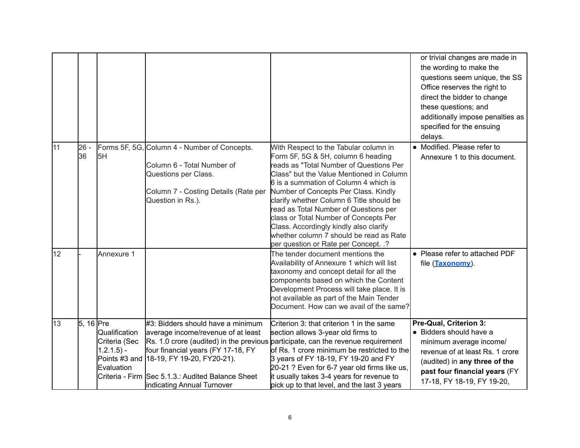|    |              |                                                               |                                                                                                                                                                                                                                              |                                                                                                                                                                                                                                                                                                                                                                                                                                                                                                                | or trivial changes are made in<br>the wording to make the<br>questions seem unique, the SS<br>Office reserves the right to<br>direct the bidder to change<br>these questions; and<br>additionally impose penalties as<br>specified for the ensuing<br>delays. |
|----|--------------|---------------------------------------------------------------|----------------------------------------------------------------------------------------------------------------------------------------------------------------------------------------------------------------------------------------------|----------------------------------------------------------------------------------------------------------------------------------------------------------------------------------------------------------------------------------------------------------------------------------------------------------------------------------------------------------------------------------------------------------------------------------------------------------------------------------------------------------------|---------------------------------------------------------------------------------------------------------------------------------------------------------------------------------------------------------------------------------------------------------------|
| 11 | $26 -$<br>36 | 5H                                                            | Forms 5F, 5G, Column 4 - Number of Concepts.<br>Column 6 - Total Number of<br>Questions per Class.<br>Column 7 - Costing Details (Rate per<br>Question in Rs.).                                                                              | With Respect to the Tabular column in<br>Form 5F, 5G & 5H, column 6 heading<br>reads as "Total Number of Questions Per<br>Class" but the Value Mentioned in Column<br>6 is a summation of Column 4 which is<br>Number of Concepts Per Class. Kindly<br>clarify whether Column 6 Title should be<br>read as Total Number of Questions per<br>class or Total Number of Concepts Per<br>Class. Accordingly kindly also clarify<br>whether column 7 should be read as Rate<br>per question or Rate per Concept. .? | • Modified. Please refer to<br>Annexure 1 to this document.                                                                                                                                                                                                   |
| 12 |              | Annexure 1                                                    |                                                                                                                                                                                                                                              | The tender document mentions the<br>Availability of Annexure 1 which will list<br>taxonomy and concept detail for all the<br>components based on which the Content<br>Development Process will take place. It is<br>not available as part of the Main Tender<br>Document. How can we avail of the same?                                                                                                                                                                                                        | • Please refer to attached PDF<br>file (Taxonomy).                                                                                                                                                                                                            |
| 13 | 5, 16 Pre    | Qualification<br>Criteria (Sec<br>$1.2.1.5$ ) -<br>Evaluation | #3: Bidders should have a minimum<br>average income/revenue of at least<br>four financial years (FY 17-18, FY<br>Points #3 and 18-19, FY 19-20, FY20-21).<br>Criteria - Firm Sec 5.1.3.: Audited Balance Sheet<br>indicating Annual Turnover | Criterion 3: that criterion 1 in the same<br>section allows 3-year old firms to<br>Rs. 1.0 crore (audited) in the previous participate, can the revenue requirement<br>of Rs. 1 crore minimum be restricted to the<br>3 years of FY 18-19, FY 19-20 and FY<br>20-21 ? Even for 6-7 year old firms like us,<br>it usually takes 3-4 years for revenue to<br>pick up to that level, and the last 3 years                                                                                                         | Pre-Qual, Criterion 3:<br>• Bidders should have a<br>minimum average income/<br>revenue of at least Rs. 1 crore<br>(audited) in any three of the<br>past four financial years (FY<br>17-18, FY 18-19, FY 19-20,                                               |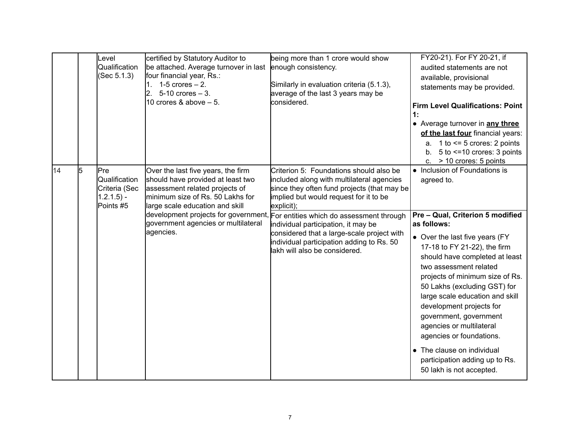|    |   | Level<br>Qualification<br>(Sec 5.1.3)                               | certified by Statutory Auditor to<br>be attached. Average turnover in last<br>four financial year, Rs.:<br>$1-5$ crores $-2$ .<br>2.<br>$5-10$ crores $-3$ .<br>10 crores & above $-5$ .                                                                                     | being more than 1 crore would show<br>enough consistency.<br>Similarly in evaluation criteria (5.1.3),<br>average of the last 3 years may be<br>considered.                                                                                                                                                                                                                                                | FY20-21). For FY 20-21, if<br>audited statements are not<br>available, provisional<br>statements may be provided.<br><b>Firm Level Qualifications: Point</b><br>1:<br>• Average turnover in any three<br>of the last four financial years:<br>a. $1$ to $\leq$ 5 crores: 2 points<br>5 to <= 10 crores: 3 points<br>b.<br>c. $>$ 10 crores: 5 points                                                                                                                                                                                         |
|----|---|---------------------------------------------------------------------|------------------------------------------------------------------------------------------------------------------------------------------------------------------------------------------------------------------------------------------------------------------------------|------------------------------------------------------------------------------------------------------------------------------------------------------------------------------------------------------------------------------------------------------------------------------------------------------------------------------------------------------------------------------------------------------------|----------------------------------------------------------------------------------------------------------------------------------------------------------------------------------------------------------------------------------------------------------------------------------------------------------------------------------------------------------------------------------------------------------------------------------------------------------------------------------------------------------------------------------------------|
| 14 | 5 | Pre<br>Qualification<br>Criteria (Sec<br>$1.2.1.5$ ) -<br>Points #5 | Over the last five years, the firm<br>should have provided at least two<br>assessment related projects of<br>minimum size of Rs. 50 Lakhs for<br>large scale education and skill<br>development projects for government,<br>government agencies or multilateral<br>agencies. | Criterion 5: Foundations should also be<br>included along with multilateral agencies<br>since they often fund projects (that may be<br>implied but would request for it to be<br>explicit);<br>For entities which do assessment through<br>individual participation, it may be<br>considered that a large-scale project with<br>individual participation adding to Rs. 50<br>lakh will also be considered. | • Inclusion of Foundations is<br>agreed to.<br>Pre - Qual, Criterion 5 modified<br>as follows:<br>• Over the last five years (FY<br>17-18 to FY 21-22), the firm<br>should have completed at least<br>two assessment related<br>projects of minimum size of Rs.<br>50 Lakhs (excluding GST) for<br>large scale education and skill<br>development projects for<br>government, government<br>agencies or multilateral<br>agencies or foundations.<br>• The clause on individual<br>participation adding up to Rs.<br>50 lakh is not accepted. |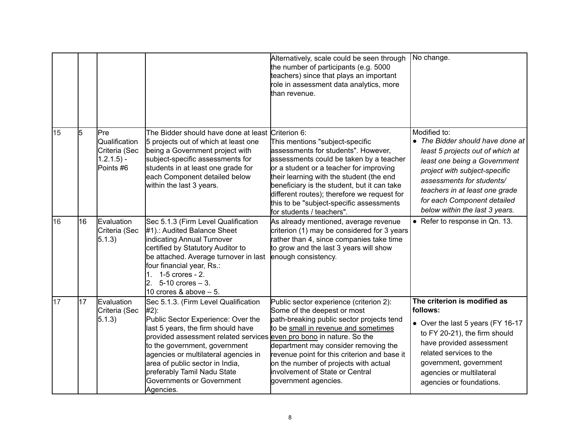|    |    |                                                                            |                                                                                                                                                                                                                                                                                                                                                                                         | Alternatively, scale could be seen through<br>the number of participants (e.g. 5000<br>teachers) since that plays an important<br>role in assessment data analytics, more<br>than revenue.                                                                                                                                                                                      | No change.                                                                                                                                                                                                                                                                            |
|----|----|----------------------------------------------------------------------------|-----------------------------------------------------------------------------------------------------------------------------------------------------------------------------------------------------------------------------------------------------------------------------------------------------------------------------------------------------------------------------------------|---------------------------------------------------------------------------------------------------------------------------------------------------------------------------------------------------------------------------------------------------------------------------------------------------------------------------------------------------------------------------------|---------------------------------------------------------------------------------------------------------------------------------------------------------------------------------------------------------------------------------------------------------------------------------------|
| 15 | l5 | <b>Pre</b><br>Qualification<br>Criteria (Sec<br>$1.2.1.5$ ) -<br>Points #6 | The Bidder should have done at least Criterion 6:<br>5 projects out of which at least one<br>being a Government project with<br>subject-specific assessments for<br>students in at least one grade for<br>each Component detailed below<br>within the last 3 years.                                                                                                                     | This mentions "subject-specific<br>assessments for students". However,<br>assessments could be taken by a teacher<br>or a student or a teacher for improving<br>their learning with the student (the end<br>beneficiary is the student, but it can take<br>different routes); therefore we request for<br>this to be "subject-specific assessments<br>for students / teachers". | Modified to:<br>• The Bidder should have done at<br>least 5 projects out of which at<br>least one being a Government<br>project with subject-specific<br>assessments for students/<br>teachers in at least one grade<br>for each Component detailed<br>below within the last 3 years. |
| 16 | 16 | Evaluation<br>Criteria (Sec<br>5.1.3)                                      | Sec 5.1.3 (Firm Level Qualification<br>#1).: Audited Balance Sheet<br>indicating Annual Turnover<br>certified by Statutory Auditor to<br>be attached. Average turnover in last<br>four financial year, Rs.:<br>1. 1-5 crores - 2.<br>$2.5 - 10$ crores $-3.$<br>10 crores & above $-5$ .                                                                                                | As already mentioned, average revenue<br>criterion (1) may be considered for 3 years<br>rather than 4, since companies take time<br>to grow and the last 3 years will show<br>enough consistency.                                                                                                                                                                               | • Refer to response in Qn. 13.                                                                                                                                                                                                                                                        |
| 17 | 17 | Evaluation<br>Criteria (Sec<br>5.1.3)                                      | Sec 5.1.3. (Firm Level Qualification<br>$#2$ :<br>Public Sector Experience: Over the<br>last 5 years, the firm should have<br>provided assessment related services even pro bono in nature. So the<br>to the government, government<br>agencies or multilateral agencies in<br>area of public sector in India,<br>preferably Tamil Nadu State<br>Governments or Government<br>Agencies. | Public sector experience (criterion 2):<br>Some of the deepest or most<br>path-breaking public sector projects tend<br>to be small in revenue and sometimes<br>department may consider removing the<br>revenue point for this criterion and base it<br>on the number of projects with actual<br>involvement of State or Central<br>government agencies.                         | The criterion is modified as<br>follows:<br>• Over the last 5 years (FY 16-17<br>to FY 20-21), the firm should<br>have provided assessment<br>related services to the<br>government, government<br>agencies or multilateral<br>agencies or foundations.                               |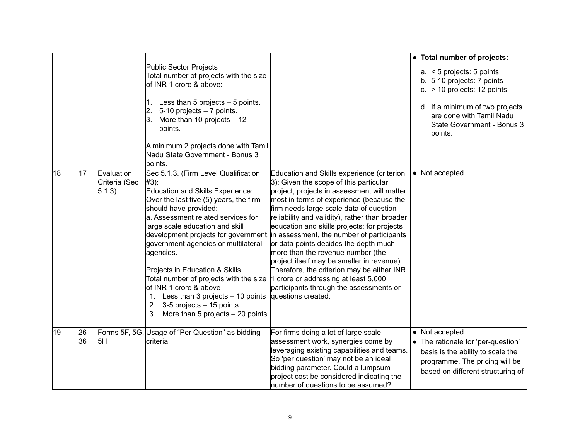|    |            |                                        |                                                                                                                                                                                                                                                                                                                                                                                                                                                                                                                  |                                                                                                                                                                                                                                                                                                                                                                                                                                                                                                                                                                                                                                                                                                  | • Total number of projects:                                                                                                                                                                        |
|----|------------|----------------------------------------|------------------------------------------------------------------------------------------------------------------------------------------------------------------------------------------------------------------------------------------------------------------------------------------------------------------------------------------------------------------------------------------------------------------------------------------------------------------------------------------------------------------|--------------------------------------------------------------------------------------------------------------------------------------------------------------------------------------------------------------------------------------------------------------------------------------------------------------------------------------------------------------------------------------------------------------------------------------------------------------------------------------------------------------------------------------------------------------------------------------------------------------------------------------------------------------------------------------------------|----------------------------------------------------------------------------------------------------------------------------------------------------------------------------------------------------|
|    |            |                                        | <b>Public Sector Projects</b><br>Total number of projects with the size<br>of INR 1 crore & above:<br>Less than 5 projects $-5$ points.<br>1.<br>5-10 projects - 7 points.<br>2.<br>More than 10 projects $-12$<br>l3.<br>points.<br>A minimum 2 projects done with Tamil<br>Nadu State Government - Bonus 3<br>points.                                                                                                                                                                                          |                                                                                                                                                                                                                                                                                                                                                                                                                                                                                                                                                                                                                                                                                                  | $a. < 5$ projects: 5 points<br>b. 5-10 projects: 7 points<br>c. $>$ 10 projects: 12 points<br>d. If a minimum of two projects<br>are done with Tamil Nadu<br>State Government - Bonus 3<br>points. |
| 18 | 17         | Evaluation<br>Criteria (Sec<br>(5.1.3) | Sec 5.1.3. (Firm Level Qualification<br>#3):<br><b>Education and Skills Experience:</b><br>Over the last five (5) years, the firm<br>should have provided:<br>a. Assessment related services for<br>large scale education and skill<br>government agencies or multilateral<br>agencies.<br>Projects in Education & Skills<br>Total number of projects with the size<br>of INR 1 crore & above<br>1. Less than 3 projects - 10 points<br>2. $3-5$ projects $-15$ points<br>3.<br>More than 5 projects - 20 points | Education and Skills experience (criterion<br>3): Given the scope of this particular<br>project, projects in assessment will matter<br>most in terms of experience (because the<br>firm needs large scale data of question<br>reliability and validity), rather than broader<br>education and skills projects; for projects<br>development projects for government, in assessment, the number of participants<br>or data points decides the depth much<br>more than the revenue number (the<br>project itself may be smaller in revenue).<br>Therefore, the criterion may be either INR<br>1 crore or addressing at least 5,000<br>participants through the assessments or<br>questions created. | • Not accepted.                                                                                                                                                                                    |
| 19 | 26 -<br>36 | 5H                                     | Forms 5F, 5G, Usage of "Per Question" as bidding<br>criteria                                                                                                                                                                                                                                                                                                                                                                                                                                                     | For firms doing a lot of large scale<br>assessment work, synergies come by<br>leveraging existing capabilities and teams.<br>So 'per question' may not be an ideal<br>bidding parameter. Could a lumpsum<br>project cost be considered indicating the<br>number of questions to be assumed?                                                                                                                                                                                                                                                                                                                                                                                                      | • Not accepted.<br>• The rationale for 'per-question'<br>basis is the ability to scale the<br>programme. The pricing will be<br>based on different structuring of                                  |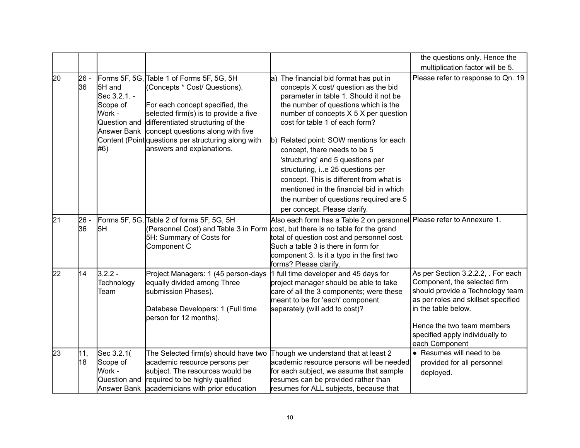|    |             |                                                                                    |                                                                                                                                                                                                                                                                                                                      |                                                                                                                                                                                                                                                                                                                                                                                                                                                                                                                                                                 | the questions only. Hence the                                                                                                                                                                                                                           |
|----|-------------|------------------------------------------------------------------------------------|----------------------------------------------------------------------------------------------------------------------------------------------------------------------------------------------------------------------------------------------------------------------------------------------------------------------|-----------------------------------------------------------------------------------------------------------------------------------------------------------------------------------------------------------------------------------------------------------------------------------------------------------------------------------------------------------------------------------------------------------------------------------------------------------------------------------------------------------------------------------------------------------------|---------------------------------------------------------------------------------------------------------------------------------------------------------------------------------------------------------------------------------------------------------|
|    |             |                                                                                    |                                                                                                                                                                                                                                                                                                                      |                                                                                                                                                                                                                                                                                                                                                                                                                                                                                                                                                                 | multiplication factor will be 5.                                                                                                                                                                                                                        |
| 20 | 26 -<br>136 | 5H and<br>Sec 3.2.1. -<br>Scope of<br>Work -<br>Question and<br>Answer Bank<br>#6) | Forms 5F, 5G, Table 1 of Forms 5F, 5G, 5H<br>(Concepts * Cost/ Questions).<br>For each concept specified, the<br>selected firm(s) is to provide a five<br>differentiated structuring of the<br>concept questions along with five<br>Content (Point questions per structuring along with<br>answers and explanations. | a) The financial bid format has put in<br>concepts X cost/ question as the bid<br>parameter in table 1. Should it not be<br>the number of questions which is the<br>number of concepts X 5 X per question<br>cost for table 1 of each form?<br>b) Related point: SOW mentions for each<br>concept, there needs to be 5<br>'structuring' and 5 questions per<br>structuring, ie 25 questions per<br>concept. This is different from what is<br>mentioned in the financial bid in which<br>the number of questions required are 5<br>per concept. Please clarify. | Please refer to response to Qn. 19                                                                                                                                                                                                                      |
| 21 | 26 -<br>136 | 5H                                                                                 | Forms 5F, 5G, Table 2 of forms 5F, 5G, 5H<br>5H: Summary of Costs for<br>Component C                                                                                                                                                                                                                                 | Also each form has a Table 2 on personnel<br>(Personnel Cost) and Table 3 in Form cost, but there is no table for the grand<br>total of question cost and personnel cost.<br>Such a table 3 is there in form for<br>component 3. Is it a typo in the first two<br>forms? Please clarify.                                                                                                                                                                                                                                                                        | Please refer to Annexure 1.                                                                                                                                                                                                                             |
| 22 | 14          | $3.2.2 -$<br>Technology<br>Team                                                    | Project Managers: 1 (45 person-days<br>equally divided among Three<br>submission Phases).<br>Database Developers: 1 (Full time<br>person for 12 months).                                                                                                                                                             | 1 full time developer and 45 days for<br>project manager should be able to take<br>care of all the 3 components; were these<br>meant to be for 'each' component<br>separately (will add to cost)?                                                                                                                                                                                                                                                                                                                                                               | As per Section 3.2.2.2, . For each<br>Component, the selected firm<br>should provide a Technology team<br>as per roles and skillset specified<br>in the table below.<br>Hence the two team members<br>specified apply individually to<br>each Component |
| 23 | 11,<br>18   | Sec 3.2.1(<br>Scope of<br>Work -<br>Question and                                   | The Selected firm(s) should have two<br>academic resource persons per<br>subject. The resources would be<br>required to be highly qualified<br>Answer Bank  academicians with prior education                                                                                                                        | Though we understand that at least 2<br>academic resource persons will be needed<br>for each subject, we assume that sample<br>resumes can be provided rather than<br>resumes for ALL subjects, because that                                                                                                                                                                                                                                                                                                                                                    | • Resumes will need to be<br>provided for all personnel<br>deployed.                                                                                                                                                                                    |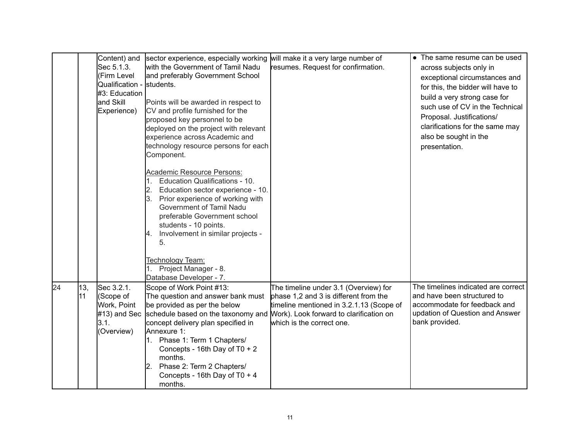|    |           | Content) and<br>Sec 5.1.3.<br>(Firm Level<br>Qualification -<br>#3: Education<br>and Skill<br>Experience) | sector experience, especially working<br>with the Government of Tamil Nadu<br>and preferably Government School<br>students.<br>Points will be awarded in respect to<br>CV and profile furnished for the<br>proposed key personnel to be<br>deployed on the project with relevant<br>experience across Academic and<br>technology resource persons for each<br>Component.<br><b>Academic Resource Persons:</b><br>Education Qualifications - 10.<br>Education sector experience - 10.<br>2.<br>Prior experience of working with<br>Government of Tamil Nadu<br>preferable Government school<br>students - 10 points.<br>Involvement in similar projects -<br>4.<br>5.<br>Technology Team:<br>Project Manager - 8.<br>Database Developer - 7. | will make it a very large number of<br>resumes. Request for confirmation.                                                                               | • The same resume can be used<br>across subjects only in<br>exceptional circumstances and<br>for this, the bidder will have to<br>build a very strong case for<br>such use of CV in the Technical<br>Proposal. Justifications/<br>clarifications for the same may<br>also be sought in the<br>presentation. |
|----|-----------|-----------------------------------------------------------------------------------------------------------|---------------------------------------------------------------------------------------------------------------------------------------------------------------------------------------------------------------------------------------------------------------------------------------------------------------------------------------------------------------------------------------------------------------------------------------------------------------------------------------------------------------------------------------------------------------------------------------------------------------------------------------------------------------------------------------------------------------------------------------------|---------------------------------------------------------------------------------------------------------------------------------------------------------|-------------------------------------------------------------------------------------------------------------------------------------------------------------------------------------------------------------------------------------------------------------------------------------------------------------|
| 24 | 13,<br>11 | Sec 3.2.1.<br>(Scope of<br>Work, Point<br>$#13$ ) and Sec<br>3.1.<br>(Overview)                           | Scope of Work Point #13:<br>The question and answer bank must<br>be provided as per the below<br>schedule based on the taxonomy and Work). Look forward to clarification on<br>concept delivery plan specified in<br>Annexure 1:<br>Phase 1: Term 1 Chapters/<br>Concepts - 16th Day of T0 + 2<br>months.<br>Phase 2: Term 2 Chapters/<br>2.<br>Concepts - 16th Day of T0 + 4<br>months.                                                                                                                                                                                                                                                                                                                                                    | The timeline under 3.1 (Overview) for<br>phase 1,2 and 3 is different from the<br>timeline mentioned in 3.2.1.13 (Scope of<br>which is the correct one. | The timelines indicated are correct<br>and have been structured to<br>accommodate for feedback and<br>updation of Question and Answer<br>bank provided.                                                                                                                                                     |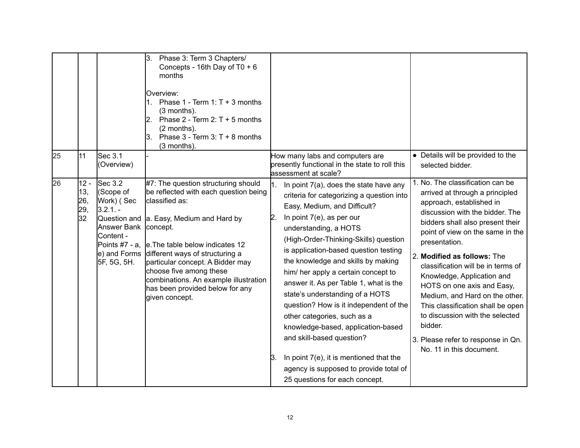|                                         |                                                                                                                                         | 3.<br>Phase 3: Term 3 Chapters/<br>Concepts - 16th Day of T0 + 6<br>months<br><b>Overview:</b><br>1. Phase $1 - Term 1: T + 3 months$<br>(3 months).<br>Phase $2 - Term 2: T + 5$ months<br>l2.<br>(2 months).<br>Phase $3 - Term 3$ : T + 8 months<br>3.<br>(3 months).                                                                                                                   |                                                                                                                                                                                                                                                                                                                                                                                                                                                                                                                                                                                                                                                                                                                         |                                                                                                                                                                                                                                                                                                                                                                                                                                                                                                                                                     |
|-----------------------------------------|-----------------------------------------------------------------------------------------------------------------------------------------|--------------------------------------------------------------------------------------------------------------------------------------------------------------------------------------------------------------------------------------------------------------------------------------------------------------------------------------------------------------------------------------------|-------------------------------------------------------------------------------------------------------------------------------------------------------------------------------------------------------------------------------------------------------------------------------------------------------------------------------------------------------------------------------------------------------------------------------------------------------------------------------------------------------------------------------------------------------------------------------------------------------------------------------------------------------------------------------------------------------------------------|-----------------------------------------------------------------------------------------------------------------------------------------------------------------------------------------------------------------------------------------------------------------------------------------------------------------------------------------------------------------------------------------------------------------------------------------------------------------------------------------------------------------------------------------------------|
| 25<br>11                                | Sec 3.1<br>(Overview)                                                                                                                   |                                                                                                                                                                                                                                                                                                                                                                                            | How many labs and computers are<br>presently functional in the state to roll this<br>assessment at scale?                                                                                                                                                                                                                                                                                                                                                                                                                                                                                                                                                                                                               | • Details will be provided to the<br>selected bidder.                                                                                                                                                                                                                                                                                                                                                                                                                                                                                               |
| 26<br>$12 -$<br>13,<br>26,<br>29,<br>32 | $\operatorname{Sec} 3.2$<br>(Scope of<br>Work) (Sec<br>$3.2.1. -$<br>Answer Bank concept.<br>Content -<br>Points #7 - a.<br>5F, 5G, 5H. | #7: The question structuring should<br>be reflected with each question being<br>classified as:<br>Question and a. Easy, Medium and Hard by<br>e. The table below indicates 12<br>e) and Forms different ways of structuring a<br>particular concept. A Bidder may<br>choose five among these<br>combinations. An example illustration<br>has been provided below for any<br>given concept. | 1.<br>In point 7(a), does the state have any<br>criteria for categorizing a question into<br>Easy, Medium, and Difficult?<br>In point 7(e), as per our<br>$\mathsf{2}$<br>understanding, a HOTS<br>(High-Order-Thinking-Skills) question<br>is application-based question testing<br>the knowledge and skills by making<br>him/ her apply a certain concept to<br>answer it. As per Table 1, what is the<br>state's understanding of a HOTS<br>question? How is it independent of the<br>other categories, such as a<br>knowledge-based, application-based<br>and skill-based question?<br>In point $7(e)$ , it is mentioned that the<br>Β.<br>agency is supposed to provide total of<br>25 questions for each concept. | 1. No. The classification can be<br>arrived at through a principled<br>approach, established in<br>discussion with the bidder. The<br>bidders shall also present their<br>point of view on the same in the<br>presentation.<br>2. Modified as follows: The<br>classification will be in terms of<br>Knowledge, Application and<br>HOTS on one axis and Easy,<br>Medium, and Hard on the other.<br>This classification shall be open<br>to discussion with the selected<br>bidder.<br>3. Please refer to response in Qn.<br>No. 11 in this document. |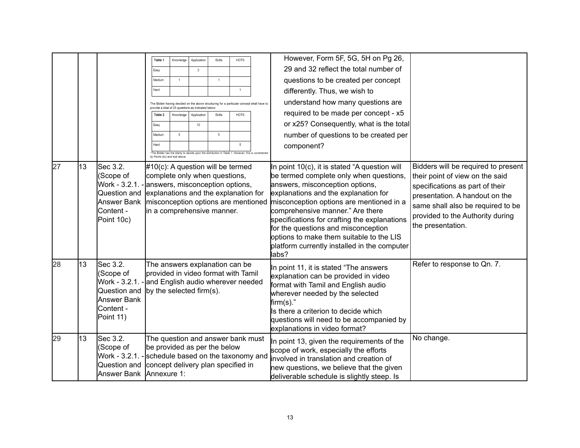|    |    |                                                                                                         | Table 1<br>Easy<br>Medium<br>Hard                                                                                                      | Knowledge<br>$\overline{1}$   | Application<br>$\overline{2}$                                                         | Skills<br>$\overline{1}$ | <b>HOTS</b>                                                                                                                                                                                                                                                                                    | However, Form 5F, 5G, 5H on Pg 26,<br>29 and 32 reflect the total number of<br>questions to be created per concept<br>differently. Thus, we wish to                                                                                                                                                                                                                                                                                             |                                                                                                                                                                                                                                           |
|----|----|---------------------------------------------------------------------------------------------------------|----------------------------------------------------------------------------------------------------------------------------------------|-------------------------------|---------------------------------------------------------------------------------------|--------------------------|------------------------------------------------------------------------------------------------------------------------------------------------------------------------------------------------------------------------------------------------------------------------------------------------|-------------------------------------------------------------------------------------------------------------------------------------------------------------------------------------------------------------------------------------------------------------------------------------------------------------------------------------------------------------------------------------------------------------------------------------------------|-------------------------------------------------------------------------------------------------------------------------------------------------------------------------------------------------------------------------------------------|
|    |    |                                                                                                         | Table 2<br>Easy<br>Medium<br>Hard                                                                                                      | Knowledge<br>$\overline{5}$   | provide a total of 25 questions as indicated below:<br>Application<br>10 <sup>°</sup> | Skills<br>$\sqrt{5}$     | The Bidder having decided on the above structuring for a particular concept shall have to<br><b>HOTS</b><br>5<br>"The Bidder has the liberty to decide upon the distribution in Table 1. However, this is constrained                                                                          | understand how many questions are<br>required to be made per concept - x5<br>or x25? Consequently, what is the total<br>number of questions to be created per<br>component?                                                                                                                                                                                                                                                                     |                                                                                                                                                                                                                                           |
| 27 | 13 | Sec 3.2.<br>(Scope of<br>Work - 3.2.1.<br>Question and<br>Answer Bank<br><b>Content</b> -<br>Point 10c) | complete only when questions,<br>in a comprehensive manner.                                                                            | by Points 4(c) and 4(d) above |                                                                                       |                          | $#10(c)$ : A question will be termed<br>answers, misconception options,<br>explanations and the explanation for<br>misconception options are mentioned                                                                                                                                         | In point 10(c), it is stated "A question will<br>be termed complete only when questions,<br>answers, misconception options,<br>explanations and the explanation for<br>misconception options are mentioned in a<br>comprehensive manner." Are there<br>specifications for crafting the explanations<br>for the questions and misconception<br>options to make them suitable to the LIS<br>platform currently installed in the computer<br>labs? | Bidders will be required to present<br>their point of view on the said<br>specifications as part of their<br>presentation. A handout on the<br>same shall also be required to be<br>provided to the Authority during<br>the presentation. |
| 28 | 13 | Sec 3.2.<br>(Scope of<br>Work - 3.2.1.<br>Question and<br>Answer Bank<br>Content -<br>Point 11)         | The answers explanation can be<br>provided in video format with Tamil<br>and English audio wherever needed<br>by the selected firm(s). |                               |                                                                                       |                          | In point 11, it is stated "The answers"<br>explanation can be provided in video<br>format with Tamil and English audio<br>wherever needed by the selected<br>$firm(s).$ "<br>Is there a criterion to decide which<br>questions will need to be accompanied by<br>explanations in video format? | Refer to response to Qn. 7.                                                                                                                                                                                                                                                                                                                                                                                                                     |                                                                                                                                                                                                                                           |
| 29 | 13 | Sec 3.2.<br>(Scope of<br>Work - 3.2.1.<br>Question and<br>Answer Bank Annexure 1:                       | be provided as per the below                                                                                                           |                               |                                                                                       |                          | The question and answer bank must<br>schedule based on the taxonomy and<br>concept delivery plan specified in                                                                                                                                                                                  | In point 13, given the requirements of the<br>scope of work, especially the efforts<br>involved in translation and creation of<br>new questions, we believe that the given<br>deliverable schedule is slightly steep. Is                                                                                                                                                                                                                        | No change.                                                                                                                                                                                                                                |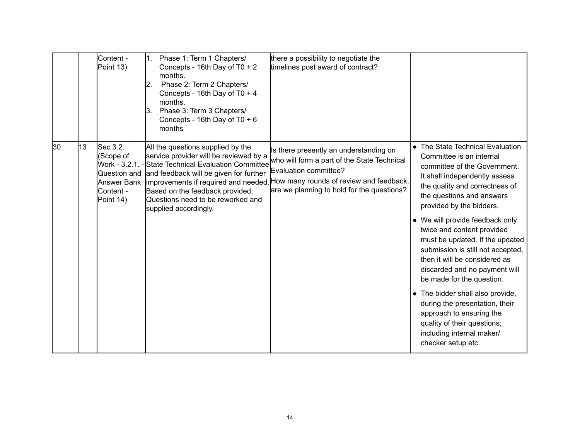|    |    | Content -<br>Point 13)                                                                          | Phase 1: Term 1 Chapters/<br>Concepts - 16th Day of T0 + 2<br>months.<br>Phase 2: Term 2 Chapters/<br>12.<br>Concepts - 16th Day of T0 + 4<br>months.<br>Phase 3: Term 3 Chapters/<br>З.<br>Concepts - 16th Day of $T0 + 6$<br>months                                                                  | there a possibility to negotiate the<br>timelines post award of contract?                                                                                                                               |                                                                                                                                                                                                                                      |
|----|----|-------------------------------------------------------------------------------------------------|--------------------------------------------------------------------------------------------------------------------------------------------------------------------------------------------------------------------------------------------------------------------------------------------------------|---------------------------------------------------------------------------------------------------------------------------------------------------------------------------------------------------------|--------------------------------------------------------------------------------------------------------------------------------------------------------------------------------------------------------------------------------------|
| 30 | 13 | Sec 3.2.<br>(Scope of<br>Work - 3.2.1.<br>Question and<br>Answer Bank<br>Content -<br>Point 14) | All the questions supplied by the<br>service provider will be reviewed by a<br>State Technical Evaluation Committee<br>and feedback will be given for further<br>improvements if required and needed.<br>Based on the feedback provided,<br>Questions need to be reworked and<br>supplied accordingly. | Is there presently an understanding on<br>who will form a part of the State Technical<br>Evaluation committee?<br>How many rounds of review and feedback,<br>are we planning to hold for the questions? | • The State Technical Evaluation<br>Committee is an internal<br>committee of the Government.<br>It shall independently assess<br>the quality and correctness of<br>the questions and answers<br>provided by the bidders.             |
|    |    |                                                                                                 |                                                                                                                                                                                                                                                                                                        |                                                                                                                                                                                                         | • We will provide feedback only<br>twice and content provided<br>must be updated. If the updated<br>submission is still not accepted,<br>then it will be considered as<br>discarded and no payment will<br>be made for the question. |
|    |    |                                                                                                 |                                                                                                                                                                                                                                                                                                        |                                                                                                                                                                                                         | • The bidder shall also provide,<br>during the presentation, their<br>approach to ensuring the<br>quality of their questions;<br>including internal maker/<br>checker setup etc.                                                     |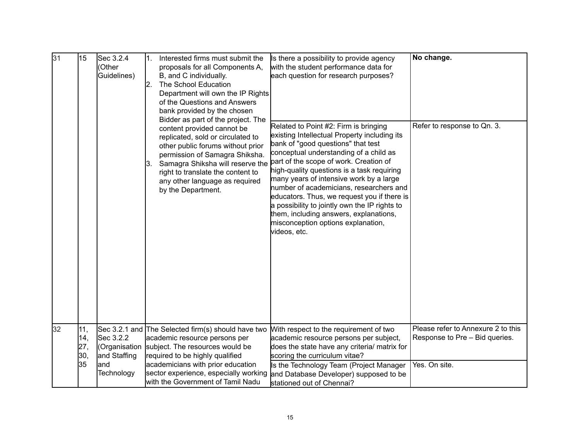| 31 | 15                       | Sec 3.2.4<br>(Other<br>Guidelines)         | 1.<br>Interested firms must submit the<br>proposals for all Components A,<br>B, and C individually.<br>The School Education<br>12.<br>Department will own the IP Rights<br>of the Questions and Answers<br>bank provided by the chosen<br>Bidder as part of the project. The<br>content provided cannot be | Is there a possibility to provide agency<br>with the student performance data for<br>each question for research purposes?<br>Related to Point #2: Firm is bringing                                                                                                                                                                                                                                                                                                                                         | No change.<br>Refer to response to Qn. 3.                            |
|----|--------------------------|--------------------------------------------|------------------------------------------------------------------------------------------------------------------------------------------------------------------------------------------------------------------------------------------------------------------------------------------------------------|------------------------------------------------------------------------------------------------------------------------------------------------------------------------------------------------------------------------------------------------------------------------------------------------------------------------------------------------------------------------------------------------------------------------------------------------------------------------------------------------------------|----------------------------------------------------------------------|
|    |                          |                                            | replicated, sold or circulated to<br>other public forums without prior<br>permission of Samagra Shiksha.<br>Samagra Shiksha will reserve the<br>3.<br>right to translate the content to<br>any other language as required<br>by the Department.                                                            | existing Intellectual Property including its<br>bank of "good questions" that test<br>conceptual understanding of a child as<br>part of the scope of work. Creation of<br>high-quality questions is a task requiring<br>many years of intensive work by a large<br>number of academicians, researchers and<br>educators. Thus, we request you if there is<br>a possibility to jointly own the IP rights to<br>them, including answers, explanations,<br>misconception options explanation,<br>videos, etc. |                                                                      |
| 32 | 11,<br>14,<br>27,<br>30, | Sec 3.2.2<br>(Organisation<br>and Staffing | Sec 3.2.1 and The Selected firm(s) should have two<br>academic resource persons per<br>subject. The resources would be<br>required to be highly qualified                                                                                                                                                  | With respect to the requirement of two<br>academic resource persons per subject,<br>does the state have any criteria/ matrix for<br>scoring the curriculum vitae?                                                                                                                                                                                                                                                                                                                                          | Please refer to Annexure 2 to this<br>Response to Pre - Bid queries. |
|    | 35                       | land<br>Technology                         | academicians with prior education<br>sector experience, especially working<br>with the Government of Tamil Nadu                                                                                                                                                                                            | Is the Technology Team (Project Manager<br>and Database Developer) supposed to be<br>stationed out of Chennai?                                                                                                                                                                                                                                                                                                                                                                                             | Yes. On site.                                                        |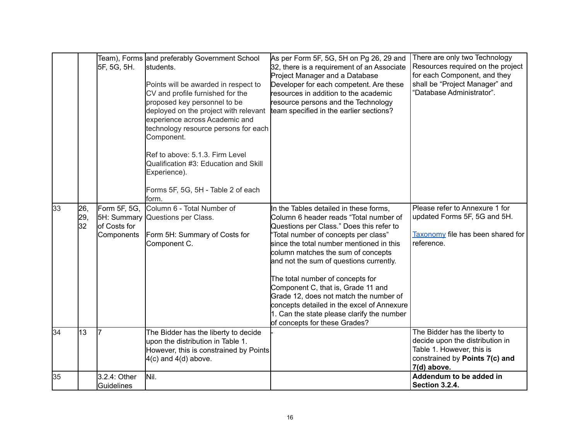|    |                  | 5F, 5G, 5H.                                               | Team), Forms and preferably Government School<br>students.<br>Points will be awarded in respect to<br>CV and profile furnished for the<br>proposed key personnel to be<br>deployed on the project with relevant<br>experience across Academic and<br>technology resource persons for each<br>Component.<br>Ref to above: 5.1.3. Firm Level<br>Qualification #3: Education and Skill<br>Experience).<br>Forms 5F, 5G, 5H - Table 2 of each<br>form. | As per Form 5F, 5G, 5H on Pg 26, 29 and<br>32, there is a requirement of an Associate<br>Project Manager and a Database<br>Developer for each competent. Are these<br>resources in addition to the academic<br>resource persons and the Technology<br>team specified in the earlier sections?                                                                                                                                                                                                                                                      | There are only two Technology<br>Resources required on the project<br>for each Component, and they<br>shall be "Project Manager" and<br>"Database Administrator". |
|----|------------------|-----------------------------------------------------------|----------------------------------------------------------------------------------------------------------------------------------------------------------------------------------------------------------------------------------------------------------------------------------------------------------------------------------------------------------------------------------------------------------------------------------------------------|----------------------------------------------------------------------------------------------------------------------------------------------------------------------------------------------------------------------------------------------------------------------------------------------------------------------------------------------------------------------------------------------------------------------------------------------------------------------------------------------------------------------------------------------------|-------------------------------------------------------------------------------------------------------------------------------------------------------------------|
| 33 | 26,<br>29,<br>32 | Form 5F, 5G,<br>5H: Summary<br>of Costs for<br>Components | Column 6 - Total Number of<br>Questions per Class.<br>Form 5H: Summary of Costs for<br>Component C.                                                                                                                                                                                                                                                                                                                                                | In the Tables detailed in these forms,<br>Column 6 header reads "Total number of<br>Questions per Class." Does this refer to<br>"Total number of concepts per class"<br>since the total number mentioned in this<br>column matches the sum of concepts<br>and not the sum of questions currently.<br>The total number of concepts for<br>Component C, that is, Grade 11 and<br>Grade 12, does not match the number of<br>concepts detailed in the excel of Annexure<br>1. Can the state please clarify the number<br>of concepts for these Grades? | Please refer to Annexure 1 for<br>updated Forms 5F, 5G and 5H.<br>Taxonomy file has been shared for<br>reference.                                                 |
| 34 | 13               | l7                                                        | The Bidder has the liberty to decide<br>upon the distribution in Table 1.<br>However, this is constrained by Points<br>$4(c)$ and $4(d)$ above.                                                                                                                                                                                                                                                                                                    |                                                                                                                                                                                                                                                                                                                                                                                                                                                                                                                                                    | The Bidder has the liberty to<br>decide upon the distribution in<br>Table 1. However, this is<br>constrained by Points 7(c) and<br>7(d) above.                    |
| 35 |                  | 3.2.4: Other<br>Guidelines                                | Nil.                                                                                                                                                                                                                                                                                                                                                                                                                                               |                                                                                                                                                                                                                                                                                                                                                                                                                                                                                                                                                    | Addendum to be added in<br><b>Section 3.2.4.</b>                                                                                                                  |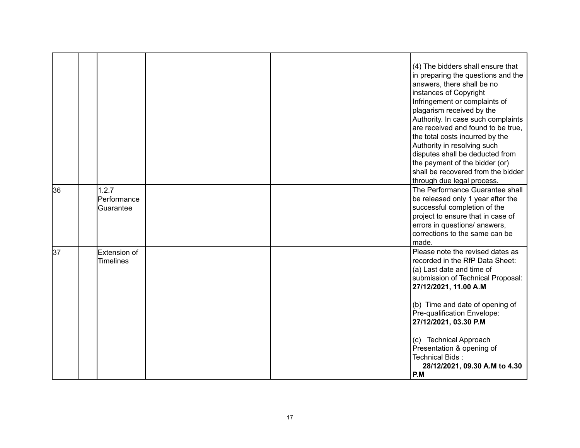|    |                                   |  | (4) The bidders shall ensure that<br>in preparing the questions and the<br>answers, there shall be no<br>instances of Copyright<br>Infringement or complaints of<br>plagarism received by the<br>Authority. In case such complaints<br>are received and found to be true.<br>the total costs incurred by the<br>Authority in resolving such<br>disputes shall be deducted from<br>the payment of the bidder (or)<br>shall be recovered from the bidder<br>through due legal process. |
|----|-----------------------------------|--|--------------------------------------------------------------------------------------------------------------------------------------------------------------------------------------------------------------------------------------------------------------------------------------------------------------------------------------------------------------------------------------------------------------------------------------------------------------------------------------|
| 36 | 1.2.7<br>Performance<br>Guarantee |  | The Performance Guarantee shall<br>be released only 1 year after the<br>successful completion of the<br>project to ensure that in case of<br>errors in questions/ answers,<br>corrections to the same can be<br>made.                                                                                                                                                                                                                                                                |
| 37 | Extension of<br><b>Timelines</b>  |  | Please note the revised dates as<br>recorded in the RfP Data Sheet:<br>(a) Last date and time of<br>submission of Technical Proposal:<br>27/12/2021, 11.00 A.M<br>(b) Time and date of opening of<br>Pre-qualification Envelope:<br>27/12/2021, 03.30 P.M<br>(c) Technical Approach<br>Presentation & opening of<br>Technical Bids:<br>28/12/2021, 09.30 A.M to 4.30<br>P.M                                                                                                          |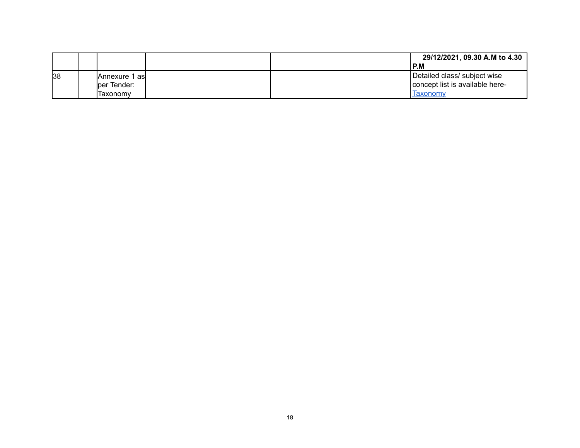|    |                       |  | 29/12/2021, 09.30 A.M to 4.30   |
|----|-----------------------|--|---------------------------------|
|    |                       |  | P.M                             |
| 38 | <b>Annexure 1 asl</b> |  | Detailed class/ subject wise    |
|    | lper Tender:          |  | concept list is available here- |
|    | lTaxonomv             |  | laxonomy                        |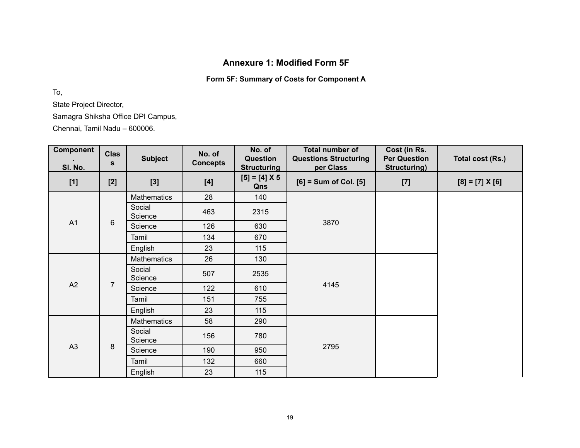# **Annexure 1: Modified Form 5F**

# **Form 5F: Summary of Costs for Component A**

To,

State Project Director,

Samagra Shiksha Office DPI Campus,

Chennai, Tamil Nadu – 600006.

| Component<br>SI. No. | <b>Clas</b><br>S | <b>Subject</b>     | No. of<br><b>Concepts</b> | No. of<br>Question<br><b>Structuring</b> | <b>Total number of</b><br><b>Questions Structuring</b><br>per Class | Cost (in Rs.<br><b>Per Question</b><br>Structuring) | Total cost (Rs.)  |
|----------------------|------------------|--------------------|---------------------------|------------------------------------------|---------------------------------------------------------------------|-----------------------------------------------------|-------------------|
| $[1]$                | $[2]$            | $[3]$              | [4]                       | $[5] = [4] \times 5$<br>Qns              | $[6]$ = Sum of Col. $[5]$                                           | $[7]$                                               | $[8] = [7] X [6]$ |
|                      |                  | <b>Mathematics</b> | 28                        | 140                                      |                                                                     |                                                     |                   |
|                      |                  | Social<br>Science  | 463                       | 2315                                     |                                                                     |                                                     |                   |
| A1                   | 6                | Science            | 126                       | 630                                      | 3870                                                                |                                                     |                   |
|                      |                  | Tamil              | 134                       | 670                                      |                                                                     |                                                     |                   |
|                      |                  | English            | 23                        | 115                                      |                                                                     |                                                     |                   |
|                      |                  | <b>Mathematics</b> | 26                        | 130                                      |                                                                     |                                                     |                   |
|                      |                  | Social<br>Science  | 507                       | 2535                                     | 4145                                                                |                                                     |                   |
| A2                   | $\overline{7}$   | Science            | 122                       | 610                                      |                                                                     |                                                     |                   |
|                      |                  | Tamil              | 151                       | 755                                      |                                                                     |                                                     |                   |
|                      |                  | English            | 23                        | 115                                      |                                                                     |                                                     |                   |
|                      |                  | <b>Mathematics</b> | 58                        | 290                                      |                                                                     |                                                     |                   |
|                      |                  | Social<br>Science  | 156                       | 780                                      |                                                                     |                                                     |                   |
| A3                   | 8                | Science            | 190                       | 950                                      | 2795                                                                |                                                     |                   |
|                      |                  | Tamil              | 132                       | 660                                      |                                                                     |                                                     |                   |
|                      |                  | English            | 23                        | 115                                      |                                                                     |                                                     |                   |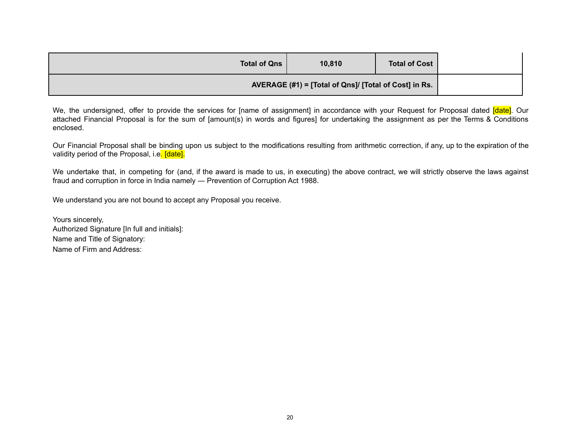| <b>Total of Cost</b> | 10,810                                                | <b>Total of Qns</b> |  |
|----------------------|-------------------------------------------------------|---------------------|--|
|                      | AVERAGE (#1) = [Total of Qns]/ [Total of Cost] in Rs. |                     |  |

We, the undersigned, offer to provide the services for [name of assignment] in accordance with your Request for Proposal dated [date]. Our attached Financial Proposal is for the sum of [amount(s) in words and figures] for undertaking the assignment as per the Terms & Conditions enclosed.

Our Financial Proposal shall be binding upon us subject to the modifications resulting from arithmetic correction, if any, up to the expiration of the validity period of the Proposal, i.e. [date].

We undertake that, in competing for (and, if the award is made to us, in executing) the above contract, we will strictly observe the laws against fraud and corruption in force in India namely ― Prevention of Corruption Act 1988.

We understand you are not bound to accept any Proposal you receive.

Yours sincerely, Authorized Signature [In full and initials]: Name and Title of Signatory: Name of Firm and Address: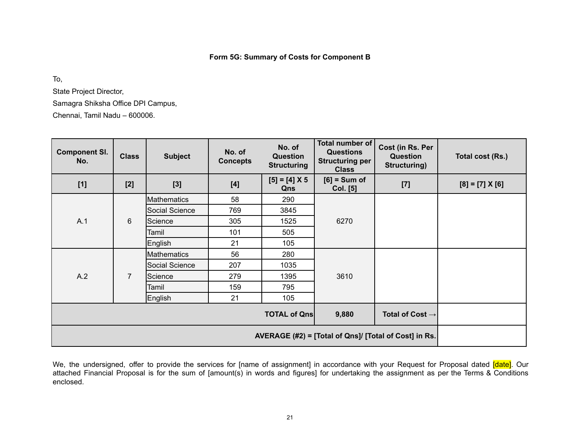### **Form 5G: Summary of Costs for Component B**

To,

State Project Director,

Samagra Shiksha Office DPI Campus,

Chennai, Tamil Nadu – 600006.

| <b>Component SI.</b><br>No. | <b>Class</b>   | <b>Subject</b> | No. of<br><b>Concepts</b> | No. of<br><b>Question</b><br><b>Structuring</b> | Total number of<br><b>Questions</b><br><b>Structuring per</b><br><b>Class</b> | Cost (in Rs. Per<br>Question<br><b>Structuring)</b> | Total cost (Rs.)  |
|-----------------------------|----------------|----------------|---------------------------|-------------------------------------------------|-------------------------------------------------------------------------------|-----------------------------------------------------|-------------------|
| $[1]$                       | $[2]$          | $[3]$          | [4]                       | $[5] = [4] X 5$<br>Qns                          | $[6]$ = Sum of<br><b>Col.</b> [5]                                             | $[7]$                                               | $[8] = [7] X [6]$ |
|                             |                | Mathematics    | 58                        | 290                                             |                                                                               |                                                     |                   |
|                             | 6              | Social Science | 769                       | 3845                                            |                                                                               |                                                     |                   |
| A.1                         |                | Science        | 305                       | 1525                                            | 6270                                                                          |                                                     |                   |
|                             |                | Tamil          | 101                       | 505                                             |                                                                               |                                                     |                   |
|                             |                | English        | 21                        | 105                                             |                                                                               |                                                     |                   |
|                             |                | Mathematics    | 56                        | 280                                             |                                                                               |                                                     |                   |
|                             |                | Social Science | 207                       | 1035                                            |                                                                               |                                                     |                   |
| A.2                         | $\overline{7}$ | Science        | 279                       | 1395                                            | 3610                                                                          |                                                     |                   |
|                             |                | Tamil          | 159                       | 795                                             |                                                                               |                                                     |                   |
|                             |                | English        | 21                        | 105                                             |                                                                               |                                                     |                   |
|                             |                |                |                           | <b>TOTAL of Qns</b>                             | 9,880                                                                         | Total of Cost $\rightarrow$                         |                   |
|                             |                |                |                           |                                                 |                                                                               |                                                     |                   |

We, the undersigned, offer to provide the services for [name of assignment] in accordance with your Request for Proposal dated [date]. Our attached Financial Proposal is for the sum of [amount(s) in words and figures] for undertaking the assignment as per the Terms & Conditions enclosed.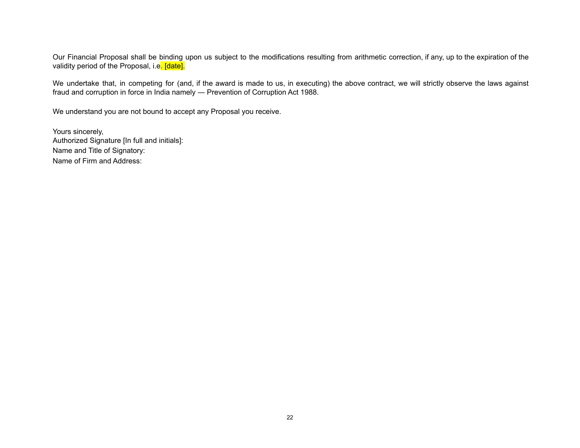Our Financial Proposal shall be binding upon us subject to the modifications resulting from arithmetic correction, if any, up to the expiration of the validity period of the Proposal, i.e. [date].

We undertake that, in competing for (and, if the award is made to us, in executing) the above contract, we will strictly observe the laws against fraud and corruption in force in India namely ― Prevention of Corruption Act 1988.

We understand you are not bound to accept any Proposal you receive.

Yours sincerely, Authorized Signature [In full and initials]: Name and Title of Signatory: Name of Firm and Address: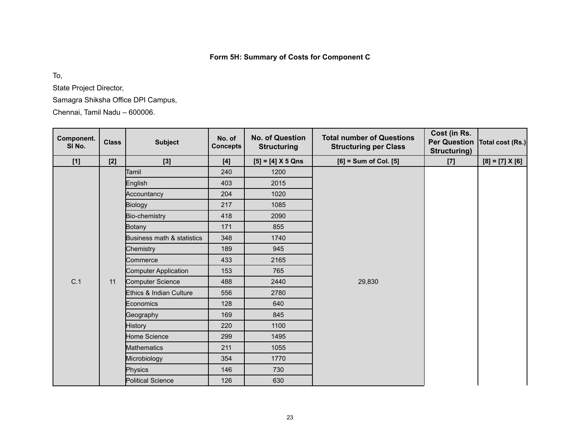# **Form 5H: Summary of Costs for Component C**

To,

State Project Director,

Samagra Shiksha Office DPI Campus,

Chennai, Tamil Nadu – 600006.

| Component.<br>SI No. | <b>Class</b> | <b>Subject</b>             | No. of<br><b>Concepts</b> | No. of Question<br><b>Structuring</b> | <b>Total number of Questions</b><br><b>Structuring per Class</b> | Cost (in Rs.<br>Structuring) | Per Question   Total cost (Rs.) |
|----------------------|--------------|----------------------------|---------------------------|---------------------------------------|------------------------------------------------------------------|------------------------------|---------------------------------|
| $[1]$                | [2]          | $[3]$                      | [4]                       | $[5] = [4] X 5 Qns$                   | $[6]$ = Sum of Col. $[5]$                                        | $[7]$                        | $[8] = [7] \times [6]$          |
|                      |              | Tamil                      | 240                       | 1200                                  |                                                                  |                              |                                 |
|                      |              | English                    | 403                       | 2015                                  |                                                                  |                              |                                 |
|                      |              | Accountancy                | 204                       | 1020                                  |                                                                  |                              |                                 |
|                      |              | <b>Biology</b>             | 217                       | 1085                                  |                                                                  |                              |                                 |
|                      |              | Bio-chemistry              | 418                       | 2090                                  |                                                                  |                              |                                 |
|                      |              | <b>Botany</b>              | 171                       | 855                                   |                                                                  |                              |                                 |
|                      |              | Business math & statistics | 348                       | 1740                                  |                                                                  |                              |                                 |
|                      |              | Chemistry                  | 189                       | 945                                   |                                                                  |                              |                                 |
|                      |              | Commerce                   | 433                       | 2165                                  |                                                                  |                              |                                 |
|                      |              | Computer Application       | 153                       | 765                                   | 29,830                                                           |                              |                                 |
| C.1                  | 11           | Computer Science           | 488                       | 2440                                  |                                                                  |                              |                                 |
|                      |              | Ethics & Indian Culture    | 556                       | 2780                                  |                                                                  |                              |                                 |
|                      |              | Economics                  | 128                       | 640                                   |                                                                  |                              |                                 |
|                      |              | Geography                  | 169                       | 845                                   |                                                                  |                              |                                 |
|                      |              | <b>History</b>             | 220                       | 1100                                  |                                                                  |                              |                                 |
|                      |              | Home Science               | 299                       | 1495                                  |                                                                  |                              |                                 |
|                      |              | <b>Mathematics</b>         | 211                       | 1055                                  |                                                                  |                              |                                 |
|                      |              | Microbiology               | 354                       | 1770                                  |                                                                  |                              |                                 |
|                      |              | Physics                    | 146                       | 730                                   |                                                                  |                              |                                 |
|                      |              | <b>Political Science</b>   | 126                       | 630                                   |                                                                  |                              |                                 |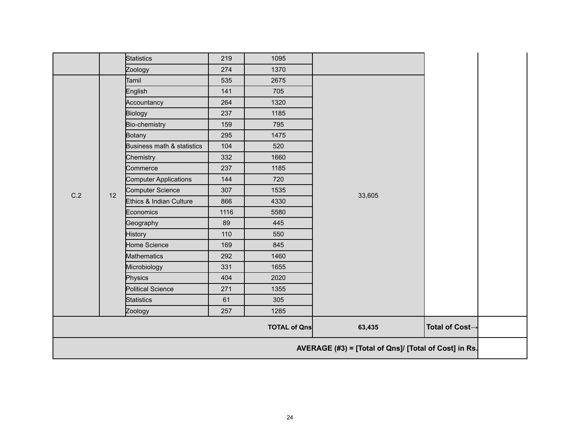|                                                 |                                                       | <b>Statistics</b>            | 219  | 1095 |        |  |  |
|-------------------------------------------------|-------------------------------------------------------|------------------------------|------|------|--------|--|--|
|                                                 |                                                       | Zoology                      | 274  | 1370 |        |  |  |
|                                                 |                                                       | Tamil                        | 535  | 2675 |        |  |  |
|                                                 |                                                       | English                      | 141  | 705  |        |  |  |
|                                                 |                                                       | Accountancy                  | 264  | 1320 |        |  |  |
|                                                 |                                                       | Biology                      | 237  | 1185 |        |  |  |
|                                                 |                                                       | Bio-chemistry                | 159  | 795  |        |  |  |
|                                                 |                                                       | <b>Botany</b>                | 295  | 1475 |        |  |  |
|                                                 |                                                       | Business math & statistics   | 104  | 520  |        |  |  |
|                                                 |                                                       | Chemistry                    | 332  | 1660 |        |  |  |
|                                                 |                                                       | Commerce                     | 237  | 1185 |        |  |  |
|                                                 | 12                                                    | <b>Computer Applications</b> | 144  | 720  |        |  |  |
| C.2                                             |                                                       | Computer Science             | 307  | 1535 | 33,605 |  |  |
|                                                 |                                                       | Ethics & Indian Culture      | 866  | 4330 |        |  |  |
|                                                 |                                                       | Economics                    | 1116 | 5580 |        |  |  |
|                                                 |                                                       | Geography                    | 89   | 445  |        |  |  |
|                                                 |                                                       | <b>History</b>               | 110  | 550  |        |  |  |
|                                                 |                                                       | Home Science                 | 169  | 845  |        |  |  |
|                                                 |                                                       | <b>Mathematics</b>           | 292  | 1460 |        |  |  |
|                                                 |                                                       | Microbiology                 | 331  | 1655 |        |  |  |
|                                                 |                                                       | Physics                      | 404  | 2020 |        |  |  |
|                                                 |                                                       | Political Science            | 271  | 1355 |        |  |  |
|                                                 |                                                       | <b>Statistics</b>            | 61   | 305  |        |  |  |
|                                                 |                                                       | Zoology                      | 257  | 1285 |        |  |  |
| 63,435<br>Total of Cost→<br><b>TOTAL of Qns</b> |                                                       |                              |      |      |        |  |  |
|                                                 | AVERAGE (#3) = [Total of Qns]/ [Total of Cost] in Rs. |                              |      |      |        |  |  |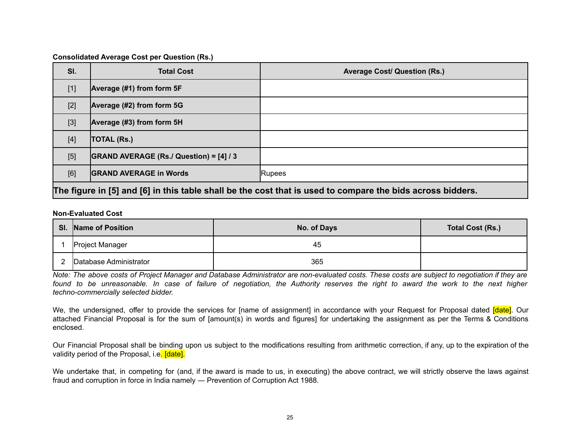#### **Consolidated Average Cost per Question (Rs.)**

| SI.   | <b>Total Cost</b>                                                                                          | <b>Average Cost/ Question (Rs.)</b> |  |  |  |  |
|-------|------------------------------------------------------------------------------------------------------------|-------------------------------------|--|--|--|--|
| $[1]$ | Average (#1) from form 5F                                                                                  |                                     |  |  |  |  |
| $[2]$ | Average (#2) from form 5G                                                                                  |                                     |  |  |  |  |
| $[3]$ | Average (#3) from form 5H                                                                                  |                                     |  |  |  |  |
| $[4]$ | <b>TOTAL (Rs.)</b>                                                                                         |                                     |  |  |  |  |
| [5]   | GRAND AVERAGE (Rs./ Question) = [4] / 3                                                                    |                                     |  |  |  |  |
| [6]   | <b>GRAND AVERAGE in Words</b>                                                                              | <b>Rupees</b>                       |  |  |  |  |
|       | The figure in [5] and [6] in this table shall be the cost that is used to compare the bids across bidders. |                                     |  |  |  |  |

#### **Non-Evaluated Cost**

| SI. | Name of Position       | No. of Days | Total Cost (Rs.) |
|-----|------------------------|-------------|------------------|
|     | Project Manager        | 45          |                  |
|     | Database Administrator | 365         |                  |

Note: The above costs of Project Manager and Database Administrator are non-evaluated costs. These costs are subject to negotiation if they are found to be unreasonable. In case of failure of negotiation, the Authority reserves the right to award the work to the next higher *techno-commercially selected bidder.*

We, the undersigned, offer to provide the services for [name of assignment] in accordance with your Request for Proposal dated [date]. Our attached Financial Proposal is for the sum of [amount(s) in words and figures] for undertaking the assignment as per the Terms & Conditions enclosed.

Our Financial Proposal shall be binding upon us subject to the modifications resulting from arithmetic correction, if any, up to the expiration of the validity period of the Proposal, i.e. [date].

We undertake that, in competing for (and, if the award is made to us, in executing) the above contract, we will strictly observe the laws against fraud and corruption in force in India namely ― Prevention of Corruption Act 1988.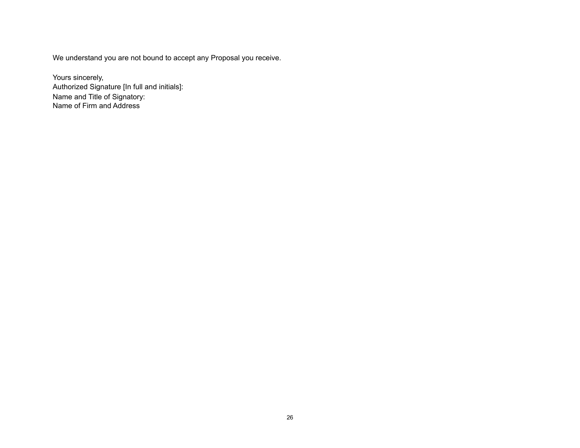We understand you are not bound to accept any Proposal you receive.

Yours sincerely, Authorized Signature [In full and initials]: Name and Title of Signatory: Name of Firm and Address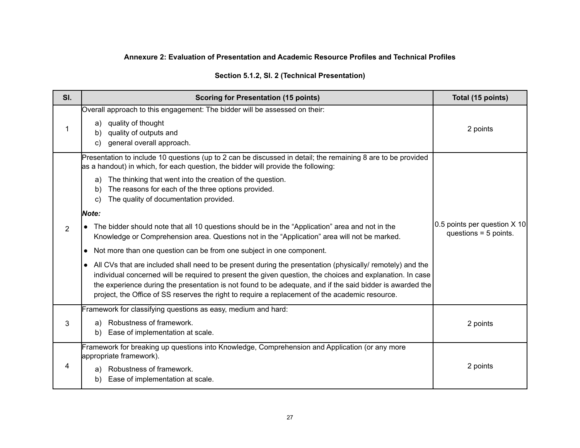# **Annexure 2: Evaluation of Presentation and Academic Resource Profiles and Technical Profiles**

|  |  |  |  | Section 5.1.2, SI. 2 (Technical Presentation) |
|--|--|--|--|-----------------------------------------------|
|--|--|--|--|-----------------------------------------------|

| SI.            | <b>Scoring for Presentation (15 points)</b>                                                                                                                                                                                                                                                                                                                                                                                                                                                                                                                                                                                                                                                                                                 | Total (15 points)                                       |
|----------------|---------------------------------------------------------------------------------------------------------------------------------------------------------------------------------------------------------------------------------------------------------------------------------------------------------------------------------------------------------------------------------------------------------------------------------------------------------------------------------------------------------------------------------------------------------------------------------------------------------------------------------------------------------------------------------------------------------------------------------------------|---------------------------------------------------------|
|                | Overall approach to this engagement: The bidder will be assessed on their:<br>quality of thought<br>a)<br>quality of outputs and<br>b)<br>general overall approach.<br>C)                                                                                                                                                                                                                                                                                                                                                                                                                                                                                                                                                                   | 2 points                                                |
|                | Presentation to include 10 questions (up to 2 can be discussed in detail; the remaining 8 are to be provided<br>as a handout) in which, for each question, the bidder will provide the following:<br>The thinking that went into the creation of the question.<br>a)<br>The reasons for each of the three options provided.<br>b)<br>The quality of documentation provided.<br>C)<br><b>Note:</b>                                                                                                                                                                                                                                                                                                                                           |                                                         |
| $\overline{2}$ | The bidder should note that all 10 questions should be in the "Application" area and not in the<br>Knowledge or Comprehension area. Questions not in the "Application" area will not be marked.<br>Not more than one question can be from one subject in one component.<br>$\bullet$<br>All CVs that are included shall need to be present during the presentation (physically/ remotely) and the<br>$\bullet$<br>individual concerned will be required to present the given question, the choices and explanation. In case<br>the experience during the presentation is not found to be adequate, and if the said bidder is awarded the<br>project, the Office of SS reserves the right to require a replacement of the academic resource. | 0.5 points per question X 10<br>questions $= 5$ points. |
| 3              | Framework for classifying questions as easy, medium and hard:<br>Robustness of framework.<br>a)<br>Ease of implementation at scale.<br>b)                                                                                                                                                                                                                                                                                                                                                                                                                                                                                                                                                                                                   | 2 points                                                |
| 4              | Framework for breaking up questions into Knowledge, Comprehension and Application (or any more<br>appropriate framework).<br>Robustness of framework.<br>a)<br>Ease of implementation at scale.<br>b)                                                                                                                                                                                                                                                                                                                                                                                                                                                                                                                                       | 2 points                                                |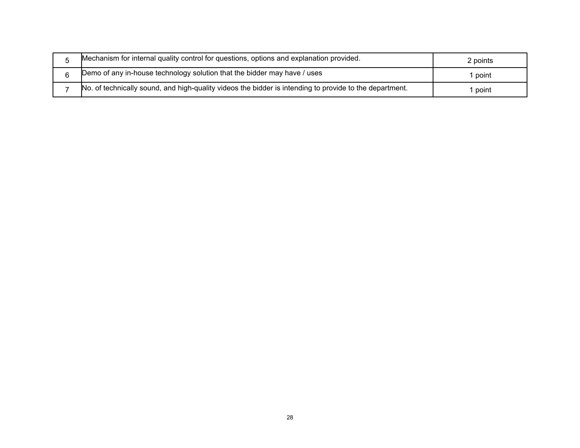| Mechanism for internal quality control for questions, options and explanation provided.                 | 2 points |
|---------------------------------------------------------------------------------------------------------|----------|
| Demo of any in-house technology solution that the bidder may have / uses                                | point    |
| No. of technically sound, and high-quality videos the bidder is intending to provide to the department. | point    |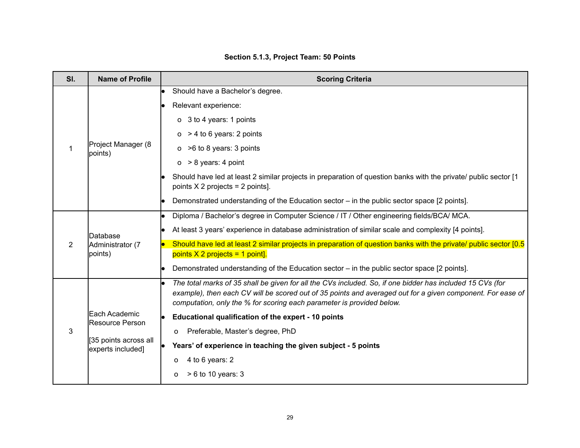| SI. | <b>Name of Profile</b>                                                         | <b>Scoring Criteria</b>                                                                                                                                                                                                                                                                                                                                                                                                                                                                                                |  |
|-----|--------------------------------------------------------------------------------|------------------------------------------------------------------------------------------------------------------------------------------------------------------------------------------------------------------------------------------------------------------------------------------------------------------------------------------------------------------------------------------------------------------------------------------------------------------------------------------------------------------------|--|
| 1   | Project Manager (8<br>points)                                                  | Should have a Bachelor's degree.<br>Relevant experience:<br>o 3 to 4 years: 1 points<br>$o > 4$ to 6 years: 2 points<br>$o > 6$ to 8 years: 3 points<br>$o > 8$ years: 4 point<br>Should have led at least 2 similar projects in preparation of question banks with the private/ public sector [1<br>points $X$ 2 projects = 2 points].<br>Demonstrated understanding of the Education sector – in the public sector space [2 points].                                                                                 |  |
| 2   | <b>Database</b><br>Administrator (7<br>points)                                 | Diploma / Bachelor's degree in Computer Science / IT / Other engineering fields/BCA/ MCA.<br>le.<br>At least 3 years' experience in database administration of similar scale and complexity [4 points].<br>Should have led at least 2 similar projects in preparation of question banks with the private/ public sector [0.5]<br>points $X$ 2 projects = 1 point].<br>Demonstrated understanding of the Education sector - in the public sector space [2 points].                                                      |  |
| 3   | Each Academic<br>Resource Person<br>[35 points across all<br>experts included] | The total marks of 35 shall be given for all the CVs included. So, if one bidder has included 15 CVs (for<br>example), then each CV will be scored out of 35 points and averaged out for a given component. For ease of<br>computation, only the % for scoring each parameter is provided below.<br>Educational qualification of the expert - 10 points<br>Preferable, Master's degree, PhD<br>0<br>Years' of experience in teaching the given subject - 5 points<br>4 to 6 years: 2<br>o<br>$> 6$ to 10 years: 3<br>O |  |

# **Section 5.1.3, Project Team: 50 Points**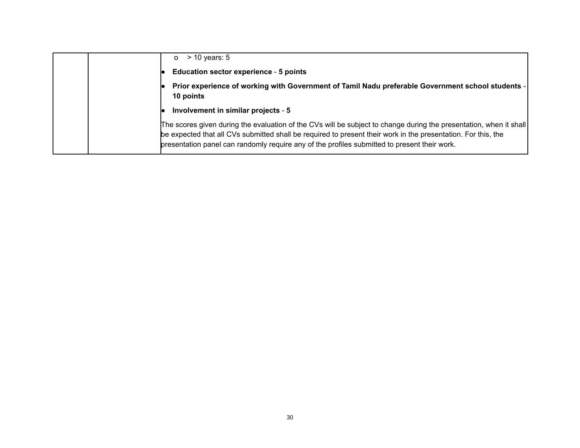|  | $>$ 10 years: 5<br>$\Omega$                                                                                                                                                                                                                                                                                                         |
|--|-------------------------------------------------------------------------------------------------------------------------------------------------------------------------------------------------------------------------------------------------------------------------------------------------------------------------------------|
|  | <b>Education sector experience - 5 points</b>                                                                                                                                                                                                                                                                                       |
|  | Prior experience of working with Government of Tamil Nadu preferable Government school students -<br>10 points                                                                                                                                                                                                                      |
|  | Involvement in similar projects - 5                                                                                                                                                                                                                                                                                                 |
|  | The scores given during the evaluation of the CVs will be subject to change during the presentation, when it shall<br>be expected that all CVs submitted shall be required to present their work in the presentation. For this, the<br>presentation panel can randomly require any of the profiles submitted to present their work. |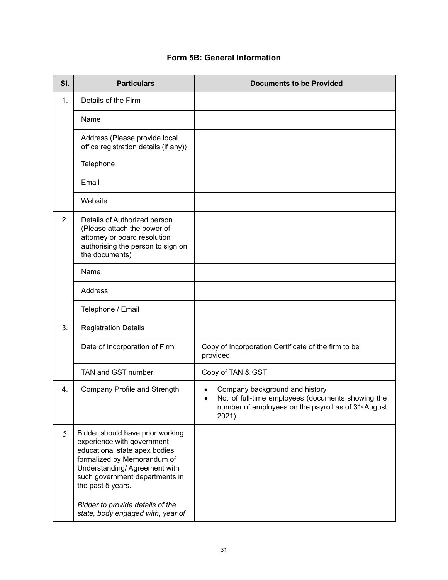| SI. | <b>Particulars</b>                                                                                                                                                                                                                                                                             | <b>Documents to be Provided</b>                                                                                                                                   |
|-----|------------------------------------------------------------------------------------------------------------------------------------------------------------------------------------------------------------------------------------------------------------------------------------------------|-------------------------------------------------------------------------------------------------------------------------------------------------------------------|
| 1.  | Details of the Firm                                                                                                                                                                                                                                                                            |                                                                                                                                                                   |
|     | Name                                                                                                                                                                                                                                                                                           |                                                                                                                                                                   |
|     | Address (Please provide local<br>office registration details (if any))                                                                                                                                                                                                                         |                                                                                                                                                                   |
|     | Telephone                                                                                                                                                                                                                                                                                      |                                                                                                                                                                   |
|     | Email                                                                                                                                                                                                                                                                                          |                                                                                                                                                                   |
|     | Website                                                                                                                                                                                                                                                                                        |                                                                                                                                                                   |
| 2.  | Details of Authorized person<br>(Please attach the power of<br>attorney or board resolution<br>authorising the person to sign on<br>the documents)                                                                                                                                             |                                                                                                                                                                   |
|     | Name                                                                                                                                                                                                                                                                                           |                                                                                                                                                                   |
|     | Address                                                                                                                                                                                                                                                                                        |                                                                                                                                                                   |
|     | Telephone / Email                                                                                                                                                                                                                                                                              |                                                                                                                                                                   |
| 3.  | <b>Registration Details</b>                                                                                                                                                                                                                                                                    |                                                                                                                                                                   |
|     | Date of Incorporation of Firm                                                                                                                                                                                                                                                                  | Copy of Incorporation Certificate of the firm to be<br>provided                                                                                                   |
|     | TAN and GST number                                                                                                                                                                                                                                                                             | Copy of TAN & GST                                                                                                                                                 |
| 4.  | Company Profile and Strength                                                                                                                                                                                                                                                                   | Company background and history<br>No. of full-time employees (documents showing the<br>$\bullet$<br>number of employees on the payroll as of 31 * August<br>2021) |
| 5   | Bidder should have prior working<br>experience with government<br>educational state apex bodies<br>formalized by Memorandum of<br>Understanding/Agreement with<br>such government departments in<br>the past 5 years.<br>Bidder to provide details of the<br>state, body engaged with, year of |                                                                                                                                                                   |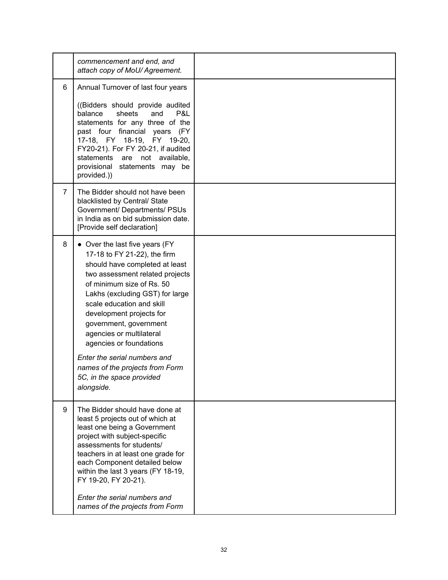|                | commencement and end, and<br>attach copy of MoU/Agreement.                                                                                                                                                                                                                                                                                                                                                                                                  |  |
|----------------|-------------------------------------------------------------------------------------------------------------------------------------------------------------------------------------------------------------------------------------------------------------------------------------------------------------------------------------------------------------------------------------------------------------------------------------------------------------|--|
| 6              | Annual Turnover of last four years<br>((Bidders should provide audited<br>balance<br>sheets<br>and<br>P&L<br>statements for any three of the<br>past four financial years (FY<br>17-18, FY 18-19, FY 19-20,<br>FY20-21). For FY 20-21, if audited<br>statements are<br>not available,<br>provisional statements may be<br>provided.))                                                                                                                       |  |
| $\overline{7}$ | The Bidder should not have been<br>blacklisted by Central/ State<br>Government/ Departments/ PSUs<br>in India as on bid submission date.<br>[Provide self declaration]                                                                                                                                                                                                                                                                                      |  |
| 8              | • Over the last five years (FY<br>17-18 to FY 21-22), the firm<br>should have completed at least<br>two assessment related projects<br>of minimum size of Rs. 50<br>Lakhs (excluding GST) for large<br>scale education and skill<br>development projects for<br>government, government<br>agencies or multilateral<br>agencies or foundations<br>Enter the serial numbers and<br>names of the projects from Form<br>5C, in the space provided<br>alongside. |  |
| 9              | The Bidder should have done at<br>least 5 projects out of which at<br>least one being a Government<br>project with subject-specific<br>assessments for students/<br>teachers in at least one grade for<br>each Component detailed below<br>within the last 3 years (FY 18-19,<br>FY 19-20, FY 20-21).<br>Enter the serial numbers and<br>names of the projects from Form                                                                                    |  |